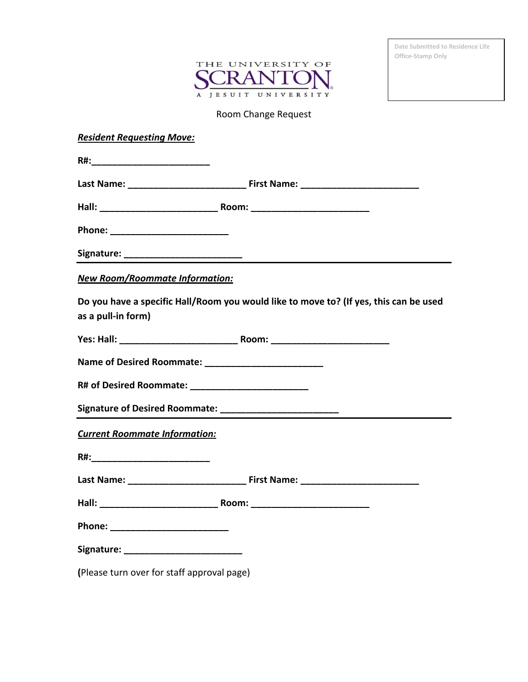

**Date Submitted to Residence Life Office-Stamp Only**

## Room Change Request

| <b>Resident Requesting Move:</b>                                                                                                                                                                                               |                                                                                       |
|--------------------------------------------------------------------------------------------------------------------------------------------------------------------------------------------------------------------------------|---------------------------------------------------------------------------------------|
| R#: with the contract of the contract of the contract of the contract of the contract of the contract of the contract of the contract of the contract of the contract of the contract of the contract of the contract of the c |                                                                                       |
|                                                                                                                                                                                                                                |                                                                                       |
|                                                                                                                                                                                                                                |                                                                                       |
| Phone: ___________________________                                                                                                                                                                                             |                                                                                       |
|                                                                                                                                                                                                                                |                                                                                       |
| New Room/Roommate Information:                                                                                                                                                                                                 |                                                                                       |
| as a pull-in form)                                                                                                                                                                                                             | Do you have a specific Hall/Room you would like to move to? (If yes, this can be used |
|                                                                                                                                                                                                                                |                                                                                       |
|                                                                                                                                                                                                                                |                                                                                       |
|                                                                                                                                                                                                                                |                                                                                       |
| Signature of Desired Roommate: __________________________                                                                                                                                                                      |                                                                                       |
| <b>Current Roommate Information:</b>                                                                                                                                                                                           |                                                                                       |
|                                                                                                                                                                                                                                |                                                                                       |
|                                                                                                                                                                                                                                |                                                                                       |
|                                                                                                                                                                                                                                |                                                                                       |
| Phone: ___________________________                                                                                                                                                                                             |                                                                                       |
| Signature: _____________________________                                                                                                                                                                                       |                                                                                       |
| (Please turn over for staff approval page)                                                                                                                                                                                     |                                                                                       |